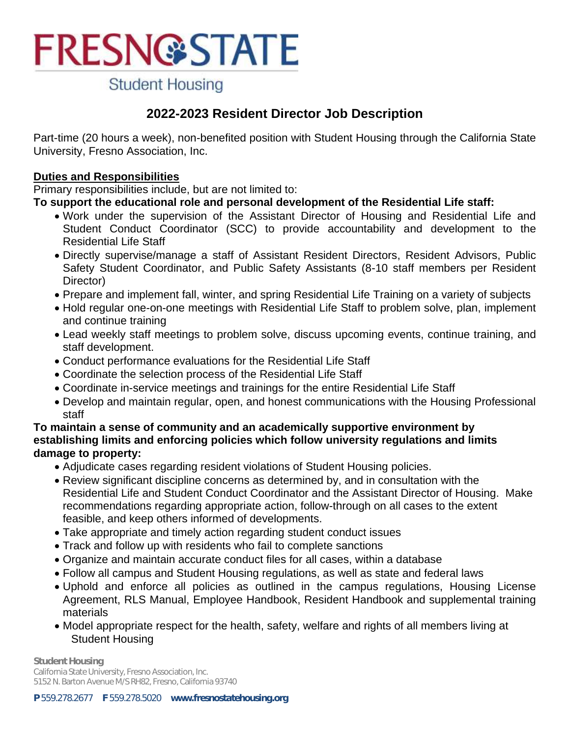**Student Housing** 

### **2022-2023 Resident Director Job Description**

Part-time (20 hours a week), non-benefited position with Student Housing through the California State University, Fresno Association, Inc.

#### **Duties and Responsibilities**

Primary responsibilities include, but are not limited to:

#### **To support the educational role and personal development of the Residential Life staff:**

- Work under the supervision of the Assistant Director of Housing and Residential Life and Student Conduct Coordinator (SCC) to provide accountability and development to the Residential Life Staff
- Directly supervise/manage a staff of Assistant Resident Directors, Resident Advisors, Public Safety Student Coordinator, and Public Safety Assistants (8-10 staff members per Resident Director)
- Prepare and implement fall, winter, and spring Residential Life Training on a variety of subjects
- Hold regular one-on-one meetings with Residential Life Staff to problem solve, plan, implement and continue training
- Lead weekly staff meetings to problem solve, discuss upcoming events, continue training, and staff development.
- Conduct performance evaluations for the Residential Life Staff
- Coordinate the selection process of the Residential Life Staff
- Coordinate in-service meetings and trainings for the entire Residential Life Staff
- Develop and maintain regular, open, and honest communications with the Housing Professional staff

#### **To maintain a sense of community and an academically supportive environment by establishing limits and enforcing policies which follow university regulations and limits damage to property:**

- Adjudicate cases regarding resident violations of Student Housing policies.
- Review significant discipline concerns as determined by, and in consultation with the Residential Life and Student Conduct Coordinator and the Assistant Director of Housing. Make recommendations regarding appropriate action, follow-through on all cases to the extent feasible, and keep others informed of developments.
- Take appropriate and timely action regarding student conduct issues
- Track and follow up with residents who fail to complete sanctions
- Organize and maintain accurate conduct files for all cases, within a database
- Follow all campus and Student Housing regulations, as well as state and federal laws
- Uphold and enforce all policies as outlined in the campus regulations, Housing License Agreement, RLS Manual, Employee Handbook, Resident Handbook and supplemental training materials
- Model appropriate respect for the health, safety, welfare and rights of all members living at Student Housing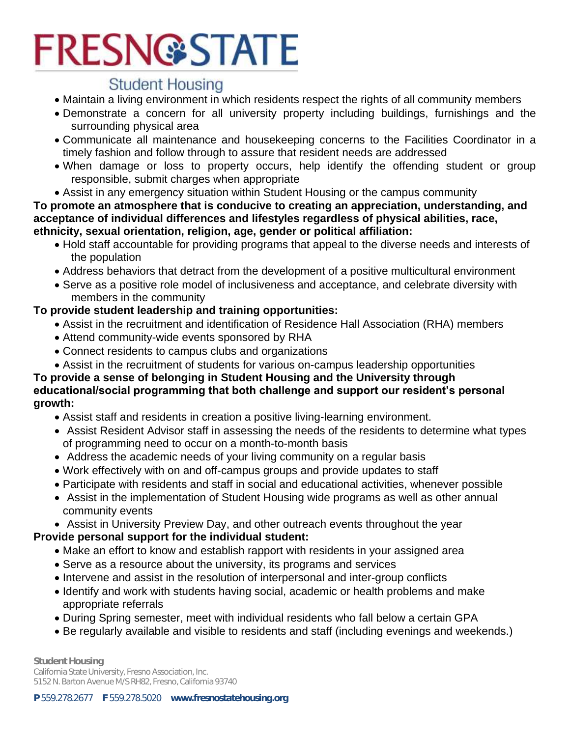### **Student Housing**

- Maintain a living environment in which residents respect the rights of all community members
- Demonstrate a concern for all university property including buildings, furnishings and the surrounding physical area
- Communicate all maintenance and housekeeping concerns to the Facilities Coordinator in a timely fashion and follow through to assure that resident needs are addressed
- When damage or loss to property occurs, help identify the offending student or group responsible, submit charges when appropriate
- Assist in any emergency situation within Student Housing or the campus community

**To promote an atmosphere that is conducive to creating an appreciation, understanding, and acceptance of individual differences and lifestyles regardless of physical abilities, race, ethnicity, sexual orientation, religion, age, gender or political affiliation:**

- Hold staff accountable for providing programs that appeal to the diverse needs and interests of the population
- Address behaviors that detract from the development of a positive multicultural environment
- Serve as a positive role model of inclusiveness and acceptance, and celebrate diversity with members in the community

#### **To provide student leadership and training opportunities:**

- Assist in the recruitment and identification of Residence Hall Association (RHA) members
- Attend community-wide events sponsored by RHA
- Connect residents to campus clubs and organizations
- Assist in the recruitment of students for various on-campus leadership opportunities

#### **To provide a sense of belonging in Student Housing and the University through educational/social programming that both challenge and support our resident's personal growth:**

- Assist staff and residents in creation a positive living-learning environment.
- Assist Resident Advisor staff in assessing the needs of the residents to determine what types of programming need to occur on a month-to-month basis
- Address the academic needs of your living community on a regular basis
- Work effectively with on and off-campus groups and provide updates to staff
- Participate with residents and staff in social and educational activities, whenever possible
- Assist in the implementation of Student Housing wide programs as well as other annual community events
- Assist in University Preview Day, and other outreach events throughout the year

#### **Provide personal support for the individual student:**

- Make an effort to know and establish rapport with residents in your assigned area
- Serve as a resource about the university, its programs and services
- Intervene and assist in the resolution of interpersonal and inter-group conflicts
- Identify and work with students having social, academic or health problems and make appropriate referrals
- During Spring semester, meet with individual residents who fall below a certain GPA
- Be regularly available and visible to residents and staff (including evenings and weekends.)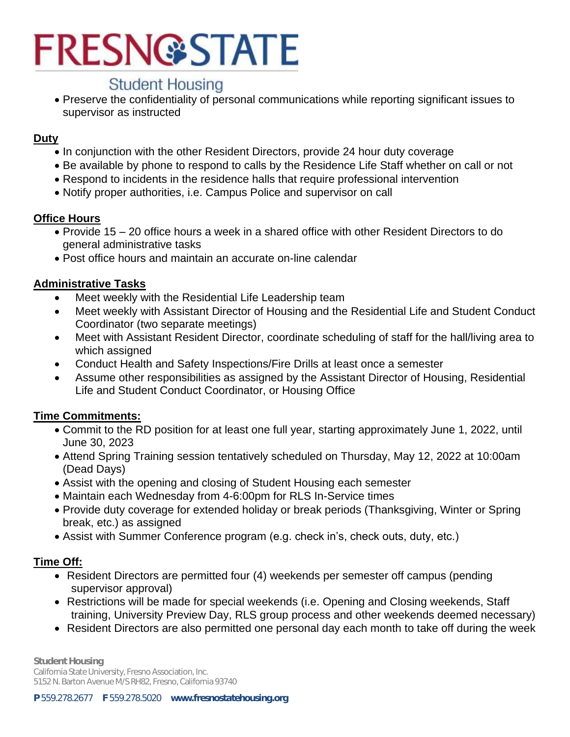

### **Student Housing**

 Preserve the confidentiality of personal communications while reporting significant issues to supervisor as instructed

#### **Duty**

- In conjunction with the other Resident Directors, provide 24 hour duty coverage
- Be available by phone to respond to calls by the Residence Life Staff whether on call or not
- Respond to incidents in the residence halls that require professional intervention
- Notify proper authorities, i.e. Campus Police and supervisor on call

#### **Office Hours**

- Provide 15 20 office hours a week in a shared office with other Resident Directors to do general administrative tasks
- Post office hours and maintain an accurate on-line calendar

#### **Administrative Tasks**

- Meet weekly with the Residential Life Leadership team
- Meet weekly with Assistant Director of Housing and the Residential Life and Student Conduct Coordinator (two separate meetings)
- Meet with Assistant Resident Director, coordinate scheduling of staff for the hall/living area to which assigned
- Conduct Health and Safety Inspections/Fire Drills at least once a semester
- Assume other responsibilities as assigned by the Assistant Director of Housing, Residential Life and Student Conduct Coordinator, or Housing Office

#### **Time Commitments:**

- Commit to the RD position for at least one full year, starting approximately June 1, 2022, until June 30, 2023
- Attend Spring Training session tentatively scheduled on Thursday, May 12, 2022 at 10:00am (Dead Days)
- Assist with the opening and closing of Student Housing each semester
- Maintain each Wednesday from 4-6:00pm for RLS In-Service times
- Provide duty coverage for extended holiday or break periods (Thanksgiving, Winter or Spring break, etc.) as assigned
- Assist with Summer Conference program (e.g. check in's, check outs, duty, etc.)

#### **Time Off:**

- Resident Directors are permitted four (4) weekends per semester off campus (pending supervisor approval)
- Restrictions will be made for special weekends (i.e. Opening and Closing weekends, Staff training, University Preview Day, RLS group process and other weekends deemed necessary)
- Resident Directors are also permitted one personal day each month to take off during the week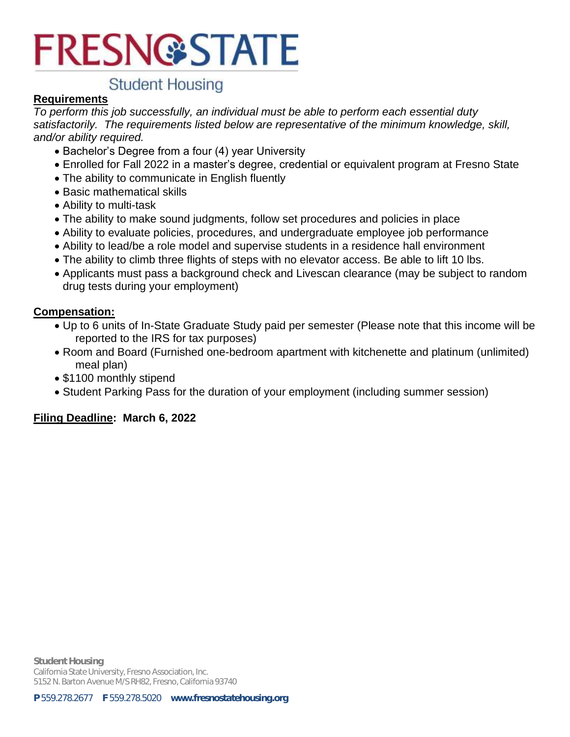## **Student Housing**

#### **Requirements**

*To perform this job successfully, an individual must be able to perform each essential duty satisfactorily. The requirements listed below are representative of the minimum knowledge, skill, and/or ability required.*

- Bachelor's Degree from a four (4) year University
- Enrolled for Fall 2022 in a master's degree, credential or equivalent program at Fresno State
- The ability to communicate in English fluently
- Basic mathematical skills
- Ability to multi-task
- The ability to make sound judgments, follow set procedures and policies in place
- Ability to evaluate policies, procedures, and undergraduate employee job performance
- Ability to lead/be a role model and supervise students in a residence hall environment
- The ability to climb three flights of steps with no elevator access. Be able to lift 10 lbs.
- Applicants must pass a background check and Livescan clearance (may be subject to random drug tests during your employment)

#### **Compensation:**

- Up to 6 units of In-State Graduate Study paid per semester (Please note that this income will be reported to the IRS for tax purposes)
- Room and Board (Furnished one-bedroom apartment with kitchenette and platinum (unlimited) meal plan)
- \$1100 monthly stipend
- Student Parking Pass for the duration of your employment (including summer session)

#### **Filing Deadline: March 6, 2022**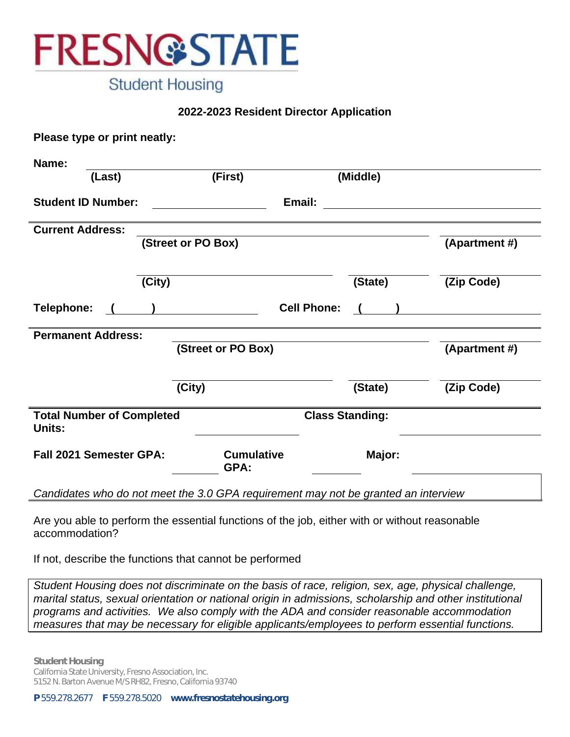

**Student Housing** 

#### **2022-2023 Resident Director Application**

| Please type or print neatly:               |                                                                                    |                                  |               |  |  |  |  |
|--------------------------------------------|------------------------------------------------------------------------------------|----------------------------------|---------------|--|--|--|--|
| Name:                                      |                                                                                    |                                  |               |  |  |  |  |
| (Last)                                     | (First)                                                                            | (Middle)                         |               |  |  |  |  |
| <b>Student ID Number:</b>                  |                                                                                    | Email:                           |               |  |  |  |  |
| <b>Current Address:</b>                    |                                                                                    |                                  |               |  |  |  |  |
|                                            | (Street or PO Box)                                                                 |                                  | (Apartment #) |  |  |  |  |
| (City)                                     |                                                                                    | (State)                          | (Zip Code)    |  |  |  |  |
| Telephone:                                 |                                                                                    | <b>Cell Phone:</b><br>$\sqrt{ }$ |               |  |  |  |  |
| <b>Permanent Address:</b>                  |                                                                                    |                                  |               |  |  |  |  |
|                                            | (Street or PO Box)                                                                 |                                  | (Apartment #) |  |  |  |  |
|                                            | (City)                                                                             | (State)                          | (Zip Code)    |  |  |  |  |
| <b>Total Number of Completed</b><br>Units: |                                                                                    | <b>Class Standing:</b>           |               |  |  |  |  |
| <b>Fall 2021 Semester GPA:</b>             | <b>Cumulative</b><br>GPA:                                                          | Major:                           |               |  |  |  |  |
|                                            | Candidates who do not meet the 3.0 GPA requirement may not be granted an interview |                                  |               |  |  |  |  |

Are you able to perform the essential functions of the job, either with or without reasonable accommodation?

If not, describe the functions that cannot be performed

*Student Housing does not discriminate on the basis of race, religion, sex, age, physical challenge, marital status, sexual orientation or national origin in admissions, scholarship and other institutional programs and activities. We also comply with the ADA and consider reasonable accommodation measures that may be necessary for eligible applicants/employees to perform essential functions.*